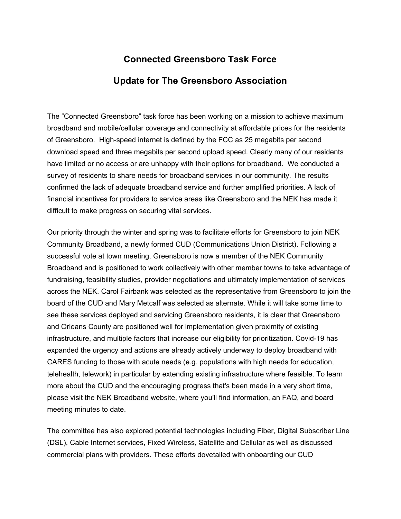## **Connected Greensboro Task Force**

## **Update for The Greensboro Association**

The "Connected Greensboro" task force has been working on a mission to achieve maximum broadband and mobile/cellular coverage and connectivity at affordable prices for the residents of Greensboro. High-speed internet is defined by the FCC as 25 megabits per second download speed and three megabits per second upload speed. Clearly many of our residents have limited or no access or are unhappy with their options for broadband. We conducted a survey of residents to share needs for broadband services in our community. The results confirmed the lack of adequate broadband service and further amplified priorities. A lack of financial incentives for providers to service areas like Greensboro and the NEK has made it difficult to make progress on securing vital services.

Our priority through the winter and spring was to facilitate efforts for Greensboro to join NEK Community Broadband, a newly formed CUD (Communications Union District). Following a successful vote at town meeting, Greensboro is now a member of the NEK Community Broadband and is positioned to work collectively with other member towns to take advantage of fundraising, feasibility studies, provider negotiations and ultimately implementation of services across the NEK. Carol Fairbank was selected as the representative from Greensboro to join the board of the CUD and Mary Metcalf was selected as alternate. While it will take some time to see these services deployed and servicing Greensboro residents, it is clear that Greensboro and Orleans County are positioned well for implementation given proximity of existing infrastructure, and multiple factors that increase our eligibility for prioritization. Covid-19 has expanded the urgency and actions are already actively underway to deploy broadband with CARES funding to those with acute needs (e.g. populations with high needs for education, telehealth, telework) in particular by extending existing infrastructure where feasible. To learn more about the CUD and the encouraging progress that's been made in a very short time, please visit the [N](http://nekbroadband.org/)EK [Broadband](http://nekbroadband.org/) website, where you'll find information, an FAQ, and board meeting minutes to date.

The committee has also explored potential technologies including Fiber, Digital Subscriber Line (DSL), Cable Internet services, Fixed Wireless, Satellite and Cellular as well as discussed commercial plans with providers. These efforts dovetailed with onboarding our CUD